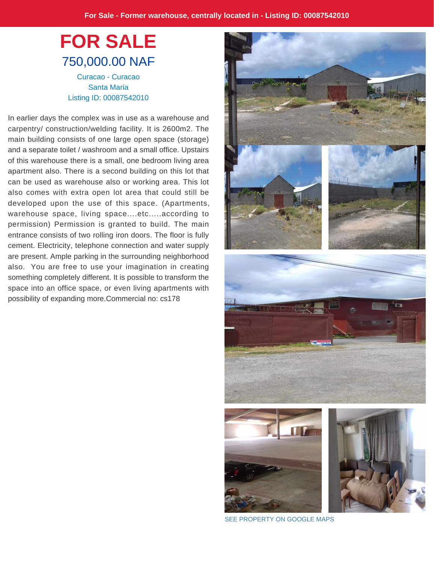## **FOR SALE** 750,000.00 NAF Curacao - Curacao Santa Maria Listing ID: 00087542010

In earlier days the complex was in use as a warehouse and carpentry/ construction/welding facility. It is 2600m2. The main building consists of one large open space (storage) and a separate toilet / washroom and a small office. Upstairs of this warehouse there is a small, one bedroom living area apartment also. There is a second building on this lot that can be used as warehouse also or working area. This lot also comes with extra open lot area that could still be developed upon the use of this space. (Apartments, warehouse space, living space....etc.....according to permission) Permission is granted to build. The main entrance consists of two rolling iron doors. The floor is fully cement. Electricity, telephone connection and water supply are present. Ample parking in the surrounding neighborhood also. You are free to use your imagination in creating something completely different. It is possible to transform the space into an office space, or even living apartments with possibility of expanding more.Commercial no: cs178



[SEE PROPERTY ON GOOGLE MAPS](https://www.google.com/maps/?q=12.169570,-68.990021)